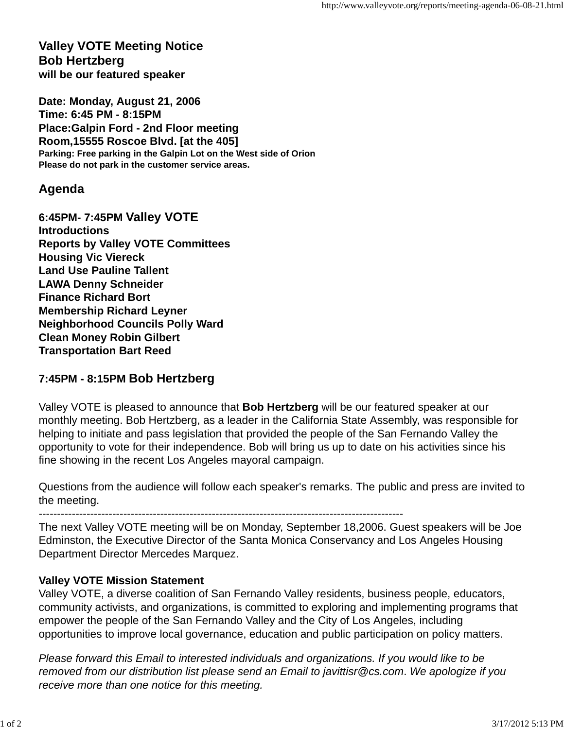## **Valley VOTE Meeting Notice Bob Hertzberg will be our featured speaker**

**Date: Monday, August 21, 2006 Time: 6:45 PM - 8:15PM Place:Galpin Ford - 2nd Floor meeting Room,15555 Roscoe Blvd. [at the 405] Parking: Free parking in the Galpin Lot on the West side of Orion Please do not park in the customer service areas.**

## **Agenda**

**6:45PM- 7:45PM Valley VOTE Introductions Reports by Valley VOTE Committees Housing Vic Viereck Land Use Pauline Tallent LAWA Denny Schneider Finance Richard Bort Membership Richard Leyner Neighborhood Councils Polly Ward Clean Money Robin Gilbert Transportation Bart Reed**

## **7:45PM - 8:15PM Bob Hertzberg**

Valley VOTE is pleased to announce that **Bob Hertzberg** will be our featured speaker at our monthly meeting. Bob Hertzberg, as a leader in the California State Assembly, was responsible for helping to initiate and pass legislation that provided the people of the San Fernando Valley the opportunity to vote for their independence. Bob will bring us up to date on his activities since his fine showing in the recent Los Angeles mayoral campaign.

Questions from the audience will follow each speaker's remarks. The public and press are invited to the meeting.

---------------------------------------------------------------------------------------------------

The next Valley VOTE meeting will be on Monday, September 18,2006. Guest speakers will be Joe Edminston, the Executive Director of the Santa Monica Conservancy and Los Angeles Housing Department Director Mercedes Marquez.

## **Valley VOTE Mission Statement**

Valley VOTE, a diverse coalition of San Fernando Valley residents, business people, educators, community activists, and organizations, is committed to exploring and implementing programs that empower the people of the San Fernando Valley and the City of Los Angeles, including opportunities to improve local governance, education and public participation on policy matters.

*Please forward this Email to interested individuals and organizations. If you would like to be removed from our distribution list please send an Email to javittisr@cs.com*. *We apologize if you receive more than one notice for this meeting.*